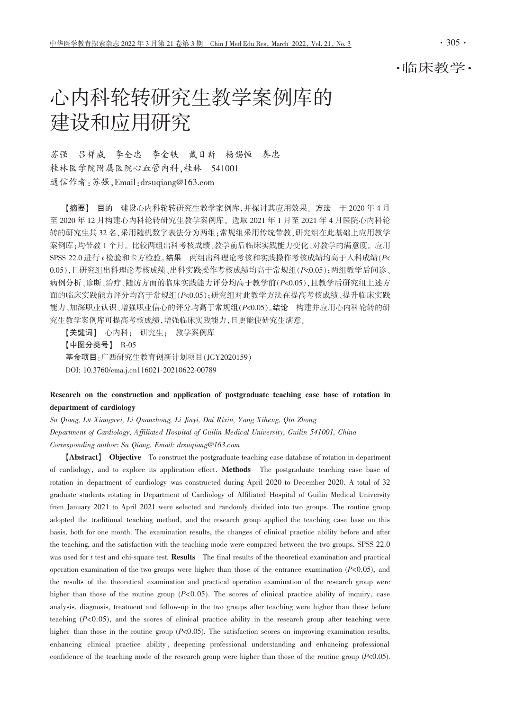# 心内科轮转研究生教学案例库的 建设和应用研究

苏强 吕祥威 李全忠 李金轶 戴日新 杨锡恒 秦忠 桂林医学院附属医院心血管内科,桂林 541001 通信作者: 苏强, Email: drsuqiang@163.com

【摘要】目的 建设心内科轮转研究生教学案例库,并探讨其应用效果。方法 于 2020年4月 至 2020年12月构建心内科轮转研究生教学案例库。选取 2021年1月至 2021年4月医院心内科轮 转的研究生共32名,采用随机数字表法分为两组;常规组采用传统带教,研究组在此基础上应用教学 案例库;均带教1个月。比较两组出科考核成绩、教学前后临床实践能力变化、对教学的满意度。应用 SPSS 22.0 进行 t 检验和卡方检验。结果 两组出科理论考核和实践操作考核成绩均高于入科成绩(P< 0.05),且研究组出科理论考核成绩、出科实践操作考核成绩均高于常规组(P<0.05);两组教学后问诊、 病例分析、诊断、治疗、随访方面的临床实践能力评分均高于教学前(P<0.05),且教学后研究组上述方 面的临床实践能力评分均高于常规组(P<0.05);研究组对此教学方法在提高考核成绩、提升临床实践 能力、加深职业认识、增强职业信心的评分均高于常规组(P<0.05)。结论 构建并应用心内科轮转的研 究生教学案例库可提高考核成绩,增强临床实践能力,且更能使研究生满意。

【关键词】 心内科; 研究生; 教学案例库 【中图分类号】 R-05 基金项目:广西研究生教育创新计划项目(JGY2020159) DOI: 10.3760/cma.j.cn116021-20210622-00789

## Research on the construction and application of postgraduate teaching case base of rotation in department of cardiology

Su Qiang, Lü Xiangwei, Li Quanzhong, Li Jinyi, Dai Rixin, Yang Xiheng, Qin Zhong Department of Cardiology, Affiliated Hospital of Guilin Medical University, Guilin 541001, China Corresponding author: Su Qiang, Email: drsugiang@163.com

[Abstract] Objective To construct the postgraduate teaching case database of rotation in department of cardiology, and to explore its application effect. Methods The postgraduate teaching case base of rotation in department of cardiology was constructed during April 2020 to December 2020. A total of 32 graduate students rotating in Department of Cardiology of Affiliated Hospital of Guilin Medical University from January 2021 to April 2021 were selected and randomly divided into two groups. The routine group adopted the traditional teaching method, and the research group applied the teaching case base on this basis, both for one month. The examination results, the changes of clinical practice ability before and after the teaching, and the satisfaction with the teaching mode were compared between the two groups. SPSS 22.0 was used for t test and chi-square test. Results The final results of the theoretical examination and practical operation examination of the two groups were higher than those of the entrance examination  $(P<0.05)$ , and the results of the theoretical examination and practical operation examination of the research group were higher than those of the routine group  $(P<0.05)$ . The scores of clinical practice ability of inquiry, case analysis, diagnosis, treatment and follow-up in the two groups after teaching were higher than those before teaching  $(P<0.05)$ , and the scores of clinical practice ability in the research group after teaching were higher than those in the routine group  $(P<0.05)$ . The satisfaction scores on improving examination results, enhancing clinical practice ability, deepening professional understanding and enhancing professional confidence of the teaching mode of the research group were higher than those of the routine group  $(P<0.05)$ .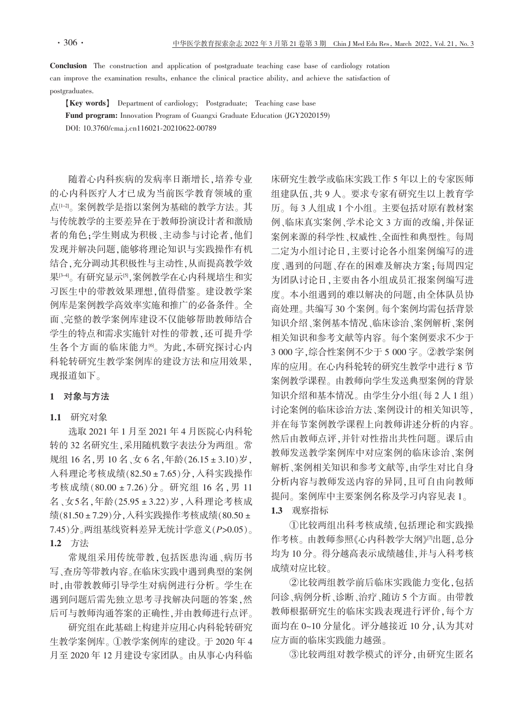**Conclusion** The construction and application of postgraduate teaching case base of cardiology rotation can improve the examination results, enhance the clinical practice ability, and achieve the satisfaction of postgraduates.

[Key words] Department of cardiology; Postgraduate; Teaching case base Fund program: Innovation Program of Guangxi Graduate Education (JGY2020159) DOI: 10.3760/cma.j.cn116021-20210622-00789

随着心内科疾病的发病率日渐增长,培养专业 的心内科医疗人才已成为当前医学教育领域的重 点<sup>[1-2]</sup>。案例教学是指以案例为基础的教学方法。其 与传统教学的主要差异在于教师扮演设计者和激励 者的角色:学生则成为积极、主动参与讨论者,他们 发现并解决问题,能够将理论知识与实践操作有机 结合,充分调动其积极性与主动性,从而提高教学效 果<sup>[34]</sup>。有研究显示<sup>[5]</sup>,案例教学在心内科规培生和实 习医生中的带教效果理想,值得借鉴。建设教学案 例库是案例教学高效率实施和推广的必备条件。全 面、完整的教学案例库建设不仅能够帮助教师结合 学生的特点和需求实施针对性的带教,还可提升学 生各个方面的临床能力<sup>。</sup>为此,本研究探讨心内 科轮转研究生教学案例库的建设方法和应用效果, 现报道如下。

## 1 对象与方法

## 1.1 研究对象

选取 2021年1月至 2021年4月医院心内科轮 转的32名研究生,采用随机数字表法分为两组。常 规组 16名, 男 10名、女 6名, 年龄(26.15 ± 3.10) 岁, 入科理论考核成绩(82.50±7.65)分,入科实践操作 考核成绩(80.00±7.26)分。研究组 16名,男 11 名、女5名,年龄(25.95±3.22)岁,入科理论考核成 绩(81.50±7.29)分,入科实践操作考核成绩(80.50± 7.45)分。两组基线资料差异无统计学意义(P>0.05)。 1.2 方法

常规组采用传统带教,包括医患沟通、病历书 写、查房等带教内容。在临床实践中遇到典型的案例 时,由带教教师引导学生对病例进行分析。学生在 遇到问题后需先独立思考寻找解决问题的答案,然 后可与教师沟通答案的正确性,并由教师进行点评。

研究组在此基础上构建并应用心内科轮转研究 生教学案例库。①教学案例库的建设。于2020年4 月至 2020年12月建设专家团队。由从事心内科临

床研究生教学或临床实践工作 5 年以上的专家医师 组建队伍,共9人。要求专家有研究生以上教育学 历。每3人组成1个小组。主要包括对原有教材案 例、临床真实案例、学术论文3方面的改编,并保证 案例来源的科学性、权威性、全面性和典型性。每周 二定为小组讨论日,主要讨论各小组案例编写的进 度、遇到的问题、存在的困难及解决方案;每周四定 为团队讨论日,主要由各小组成员汇报案例编写进 度。本小组遇到的难以解决的问题,由全体队员协 商处理。共编写30个案例。每个案例均需包括背景 知识介绍、案例基本情况、临床诊治、案例解析、案例 相关知识和参考文献等内容。每个案例要求不少于 3 000 字,综合性案例不少于 5 000 字。②教学案例 库的应用。在心内科轮转的研究生教学中进行8节 案例教学课程。由教师向学生发送典型案例的背景 知识介绍和基本情况。由学生分小组(每2人1组) 讨论案例的临床诊治方法、案例设计的相关知识等. 并在每节案例教学课程上向教师讲述分析的内容。 然后由教师点评,并针对性指出共性问题。课后由 教师发送教学案例库中对应案例的临床诊治、案例 解析、案例相关知识和参考文献等,由学生对比自身 分析内容与教师发送内容的异同,且可自由向教师 提问。案例库中主要案例名称及学习内容见表 1。

1.3 观察指标

1比较两组出科考核成绩,包括理论和实践操 作考核。由教师参照《心内科教学大纲》四出题,总分 均为10分。得分越高表示成绩越佳,并与入科考核 成绩对应比较。

②比较两组教学前后临床实践能力变化,包括 问诊、病例分析、诊断、治疗、随访5个方面。由带教 教师根据研究生的临床实践表现进行评价,每个方 面均在 0~10 分量化。评分越接近 10 分, 认为其对 应方面的临床实践能力越强。

③比较两组对教学模式的评分,由研究生匿名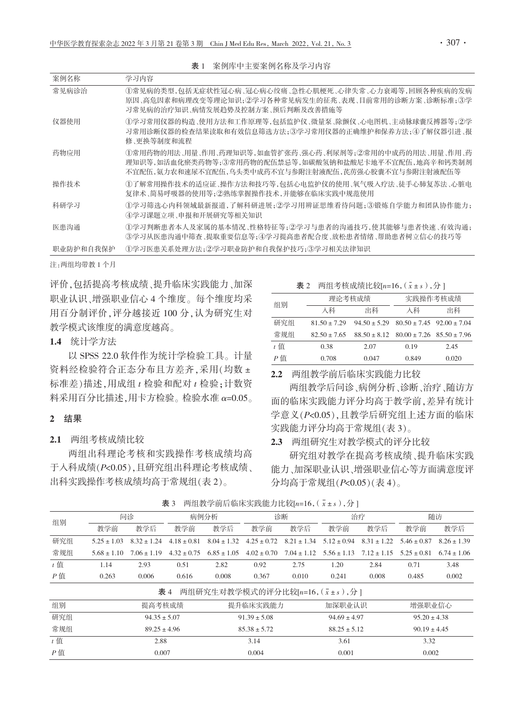| 案例名称      | 学习内容                                                                                                                                                                  |
|-----------|-----------------------------------------------------------------------------------------------------------------------------------------------------------------------|
| 常见病诊治     | ①常见病的类型,包括无症状性冠心病、冠心病心绞痛、急性心肌梗死、心律失常、心力衰竭等,回顾各种疾病的发病<br>原因、高危因素和病理改变等理论知识:②学习各种常见病发生的征兆、表现、目前常用的诊断方案、诊断标准;③学<br>习常见病的治疗知识、病情发展趋势及控制方案、预后判断及改善措施等                      |
| 仪器使用      | ①学习常用仪器的构造、使用方法和工作原理等,包括监护仪、微量泵、除颤仪、心电图机、主动脉球囊反搏器等;②学<br>习常用诊断仪器的检查结果读取和有效信息筛选方法;③学习常用仪器的正确维护和保养方法;④了解仪器引进、报<br>修、更换等制度和流程                                            |
| 药物应用      | ①常用药物的用法、用量、作用、药理知识等,如血管扩张药、强心药、利尿剂等;②常用的中成药的用法、用量、作用、药<br>理知识等,如活血化瘀类药物等;③常用药物的配伍禁忌等,如碳酸氢钠和盐酸尼卡地平不宜配伍,地高辛和钙类制剂<br>不宜配伍,氨力农和速尿不宜配伍,乌头类中成药不宜与参附注射液配伍,芪苈强心胶囊不宜与参附注射液配伍等 |
| 操作技术      | ①了解常用操作技术的适应证、操作方法和技巧等,包括心电监护仪的使用、氧气吸入疗法、徒手心肺复苏法、心脏电<br>复律术、简易呼吸器的使用等;②熟练掌握操作技术,并能够在临床实践中规范使用                                                                         |
| 科研学习      | ①学习筛选心内科领域最新报道,了解科研进展;②学习用辨证思维看待问题;③锻炼自学能力和团队协作能力;<br>④学习课题立项、申报和开展研究等相关知识                                                                                            |
| 医患沟通      | ①学习判断患者本人及家属的基本情况、性格特征等:②学习与患者的沟通技巧,使其能够与患者快速、有效沟通;<br>③学习从医患沟通中筛杳、提取重要信息等:④学习提高患者配合度、放松患者情绪、帮助患者树立信心的技巧等                                                             |
| 职业防护和自我保护 | ①学习医患关系处理方法;②学习职业防护和自我保护技巧;③学习相关法律知识                                                                                                                                  |

表 1 案例库中主要案例名称及学习内容

注:两组均带教1个月

评价,包括提高考核成绩、提升临床实践能力、加深 职业认识、增强职业信心 4 个维度。每个维度均采 用百分制评价,评分越接近100分,认为研究生对 教学模式该维度的满意度越高。

1.4 统计学方法

以 SPSS 22.0 软件作为统计学检验工具。计量 资料经检验符合正态分布且方差齐,采用(均数± 标准差)描述,用成组 t 检验和配对 t 检验;计数资 料采用百分比描述,用卡方检验。检验水准 α=0.05。

#### 2 结果

2.1 两组考核成绩比较

两组出科理论考核和实践操作考核成绩均高 于入科成绩(P<0.05),且研究组出科理论考核成绩、 出科实践操作考核成绩均高于常规组(表2)。

| 表 2 | 两组考核成绩比较[n=16, $(\bar{x} \pm s)$ , 分] |  |
|-----|---------------------------------------|--|
|     |                                       |  |

| 组别  | 理论考核成绩           |                  | 实践操作考核成绩                                           |       |  |  |  |
|-----|------------------|------------------|----------------------------------------------------|-------|--|--|--|
|     | 入科               | 出科               | 入科                                                 | 出科    |  |  |  |
| 研究组 | $81.50 \pm 7.29$ | $94.50 \pm 5.29$ | $80.50 \pm 7.45$ 92.00 $\pm 7.04$                  |       |  |  |  |
| 常规组 | $82.50 \pm 7.65$ |                  | $88.50 \pm 8.12$ $80.00 \pm 7.26$ $85.50 \pm 7.96$ |       |  |  |  |
| t 值 | 0.38             | 2.07             | 0.19                                               | 2.45  |  |  |  |
| P 值 | 0.708            | 0.047            | 0.849                                              | 0.020 |  |  |  |

2.2 两组教学前后临床实践能力比较

两组教学后问诊、病例分析、诊断、治疗、随访方 面的临床实践能力评分均高于教学前,差异有统计 学意义(P<0.05),且教学后研究组上述方面的临床 实践能力评分均高于常规组(表3)。

2.3 两组研究生对教学模式的评分比较

研究组对教学在提高考核成绩、提升临床实践 能力、加深职业认识、增强职业信心等方面满意度评 分均高于常规组(P<0.05)(表 4)。

| 组别                                       | 问诊               |                 | 病例分析             |                  | 诊断               |                  | 治疗               |                                 | 随访              |                 |
|------------------------------------------|------------------|-----------------|------------------|------------------|------------------|------------------|------------------|---------------------------------|-----------------|-----------------|
|                                          | 教学前              | 教学后             | 教学前              | 教学后              | 教学前              | 教学后              | 教学前              | 教学后                             | 教学前             | 教学后             |
| 研究组                                      | $5.25 \pm 1.03$  | $8.32 \pm 1.24$ | $4.18 \pm 0.81$  | $8.04 \pm 1.32$  | $4.25 \pm 0.72$  | $8.21 \pm 1.34$  | $512 + 0.94$     | $8.31 \pm 1.22$                 | $5.46 \pm 0.87$ | $8.26 \pm 1.39$ |
| 常规组                                      | $5.68 \pm 1.10$  | $7.06 \pm 1.19$ | $4.32 \pm 0.75$  | $6.85 \pm 1.05$  | $4.02 \pm 0.70$  | $7.04 \pm 1.12$  |                  | $5.56 \pm 1.13$ $7.12 \pm 1.15$ | $5.25 + 0.81$   | $6.74 \pm 1.06$ |
| $t$ 值                                    | 1.14             | 2.93            | 0.51             | 2.82             | 0.92             | 2.75             | 1.20             | 2.84                            | 0.71            | 3.48            |
| $P$ 值                                    | 0.263            | 0.006           | 0.616            | 0.008            | 0.367            | 0.010            | 0.241            | 0.008                           | 0.485           | 0.002           |
| 两组研究生对教学模式的评分比较[n=16, (x ± s), 分]<br>表 4 |                  |                 |                  |                  |                  |                  |                  |                                 |                 |                 |
| 组别                                       | 提高考核成绩           |                 | 提升临床实践能力         |                  | 加深职业认识           |                  | 增强职业信心           |                                 |                 |                 |
| 研究组                                      | $94.35 \pm 5.07$ |                 |                  | $91.39 \pm 5.08$ |                  | $94.69 \pm 4.97$ |                  | $95.20 \pm 4.38$                |                 |                 |
| 常规组                                      | $89.25 \pm 4.96$ |                 | $85.38 \pm 5.72$ |                  | $88.25 \pm 5.12$ |                  | $90.19 \pm 4.45$ |                                 |                 |                 |
| $t$ 值                                    | 2.88             |                 |                  | 3.14             |                  | 3.61             |                  | 3.32                            |                 |                 |
| $P$ 值                                    | 0.007            |                 |                  | 0.004<br>0.001   |                  |                  | 0.002            |                                 |                 |                 |

表 3 两组教学前后临床实践能力比较[n=16,  $(\bar{x} \pm s)$ , 分 ]